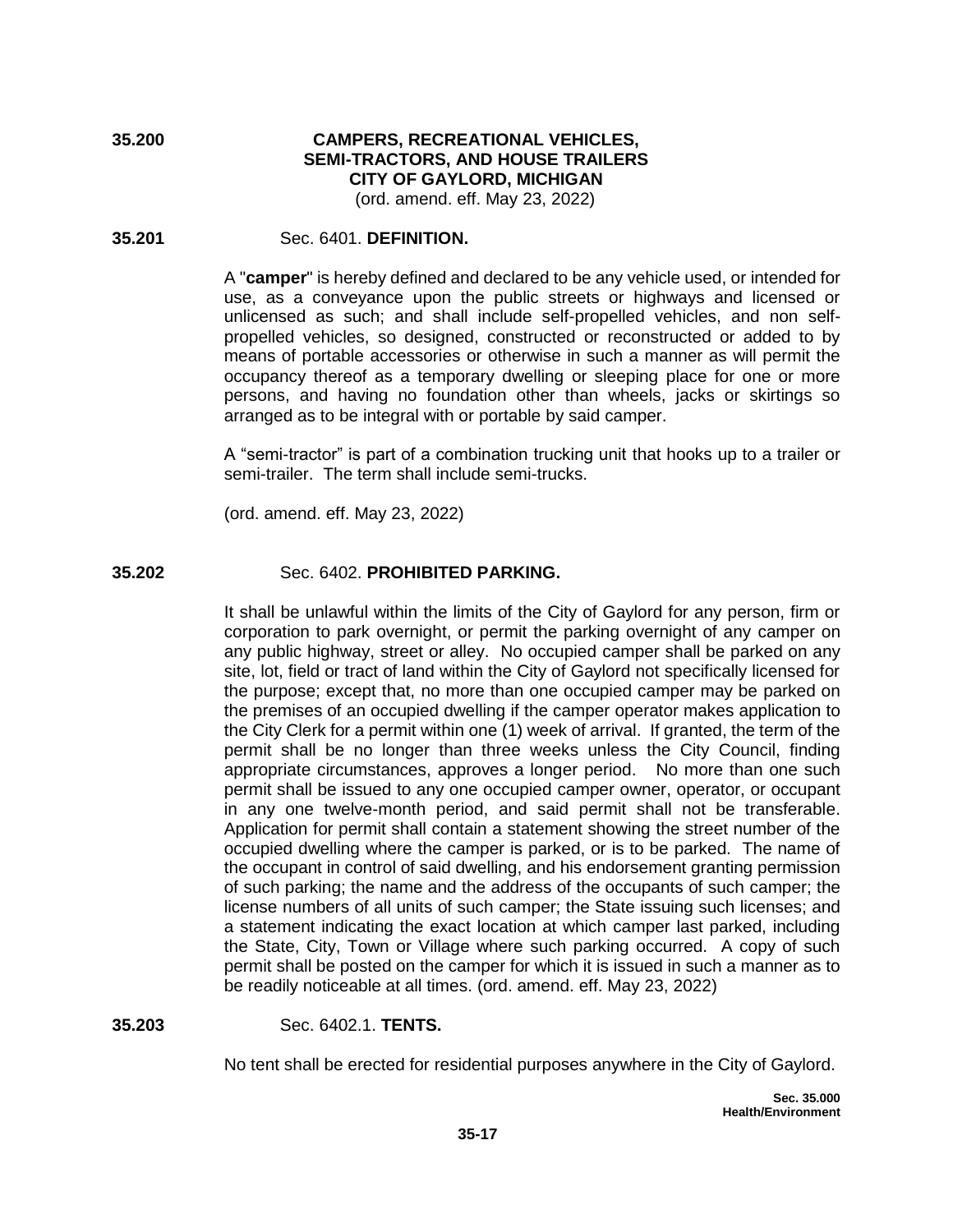**35.200 CAMPERS, RECREATIONAL VEHICLES, SEMI-TRACTORS, AND HOUSE TRAILERS CITY OF GAYLORD, MICHIGAN** (ord. amend. eff. May 23, 2022)

#### **35.201** Sec. 6401. **DEFINITION.**

A "**camper**" is hereby defined and declared to be any vehicle used, or intended for use, as a conveyance upon the public streets or highways and licensed or unlicensed as such; and shall include self-propelled vehicles, and non selfpropelled vehicles, so designed, constructed or reconstructed or added to by means of portable accessories or otherwise in such a manner as will permit the occupancy thereof as a temporary dwelling or sleeping place for one or more persons, and having no foundation other than wheels, jacks or skirtings so arranged as to be integral with or portable by said camper.

A "semi-tractor" is part of a combination trucking unit that hooks up to a trailer or semi-trailer. The term shall include semi-trucks.

(ord. amend. eff. May 23, 2022)

#### **35.202** Sec. 6402. **PROHIBITED PARKING.**

It shall be unlawful within the limits of the City of Gaylord for any person, firm or corporation to park overnight, or permit the parking overnight of any camper on any public highway, street or alley. No occupied camper shall be parked on any site, lot, field or tract of land within the City of Gaylord not specifically licensed for the purpose; except that, no more than one occupied camper may be parked on the premises of an occupied dwelling if the camper operator makes application to the City Clerk for a permit within one (1) week of arrival. If granted, the term of the permit shall be no longer than three weeks unless the City Council, finding appropriate circumstances, approves a longer period. No more than one such permit shall be issued to any one occupied camper owner, operator, or occupant in any one twelve-month period, and said permit shall not be transferable. Application for permit shall contain a statement showing the street number of the occupied dwelling where the camper is parked, or is to be parked. The name of the occupant in control of said dwelling, and his endorsement granting permission of such parking; the name and the address of the occupants of such camper; the license numbers of all units of such camper; the State issuing such licenses; and a statement indicating the exact location at which camper last parked, including the State, City, Town or Village where such parking occurred. A copy of such permit shall be posted on the camper for which it is issued in such a manner as to be readily noticeable at all times. (ord. amend. eff. May 23, 2022)

**35.203** Sec. 6402.1. **TENTS.**

No tent shall be erected for residential purposes anywhere in the City of Gaylord.